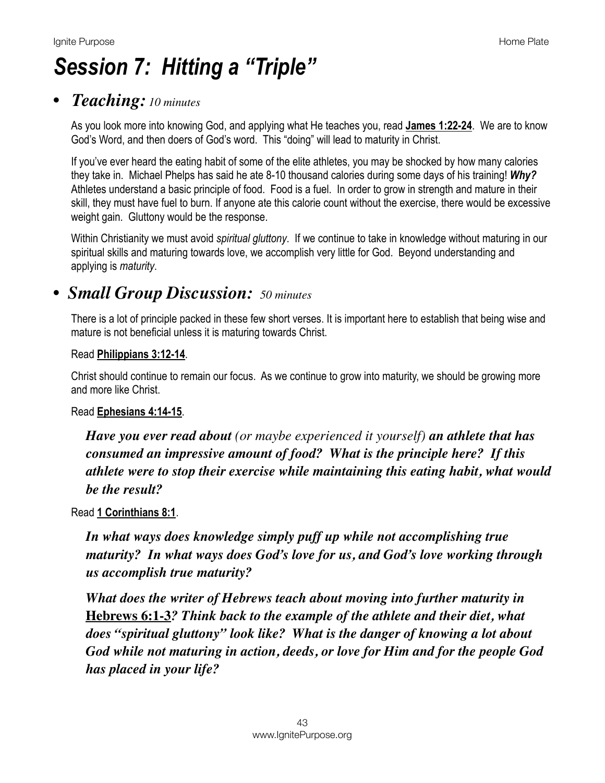# *Session 7: Hitting a "Triple"*

## *• Teaching: 10 minutes*

As you look more into knowing God, and applying what He teaches you, read **[James 1:22-24](https://www.biblegateway.com/passage/?search=James+1:22-24&version=NIV)**. We are to know God's Word, and then doers of God's word. This "doing" will lead to maturity in Christ.

If you've ever heard the eating habit of some of the elite athletes, you may be shocked by how many calories they take in. Michael Phelps has said he ate 8-10 thousand calories during some days of his training! *Why?* Athletes understand a basic principle of food. Food is a fuel. In order to grow in strength and mature in their skill, they must have fuel to burn. If anyone ate this calorie count without the exercise, there would be excessive weight gain. Gluttony would be the response.

Within Christianity we must avoid *spiritual gluttony*. If we continue to take in knowledge without maturing in our spiritual skills and maturing towards love, we accomplish very little for God. Beyond understanding and applying is *maturity*.

## *• Small Group Discussion: 50 minutes*

There is a lot of principle packed in these few short verses. It is important here to establish that being wise and mature is not beneficial unless it is maturing towards Christ.

#### Read **[Philippians 3:12-14](https://www.biblegateway.com/passage/?search=Philippians+3:12-14&version=NIV)**.

Christ should continue to remain our focus. As we continue to grow into maturity, we should be growing more and more like Christ.

#### Read **[Ephesians 4:14-15](https://www.biblegateway.com/passage/?search=Ephesians+4:14-15&version=NIV)**.

*Have you ever read about (or maybe experienced it yourself) an athlete that has consumed an impressive amount of food? What is the principle here? If this athlete were to stop their exercise while maintaining this eating habit, what would be the result?*

Read **[1 Corinthians 8:1](https://www.biblegateway.com/passage/?search=1+Corinthians+8:1&version=NIV)**.

*In what ways does knowledge simply puff up while not accomplishing true maturity? In what ways does God's love for us, and God's love working through us accomplish true maturity?*

*What does the writer of Hebrews teach about moving into further maturity in*  **[Hebrews 6:1-3](https://www.biblegateway.com/passage/?search=Hebrews+6:1-3&version=NIV)***? Think back to the example of the athlete and their diet, what does "spiritual gluttony" look like? What is the danger of knowing a lot about God while not maturing in action, deeds, or love for Him and for the people God has placed in your life?*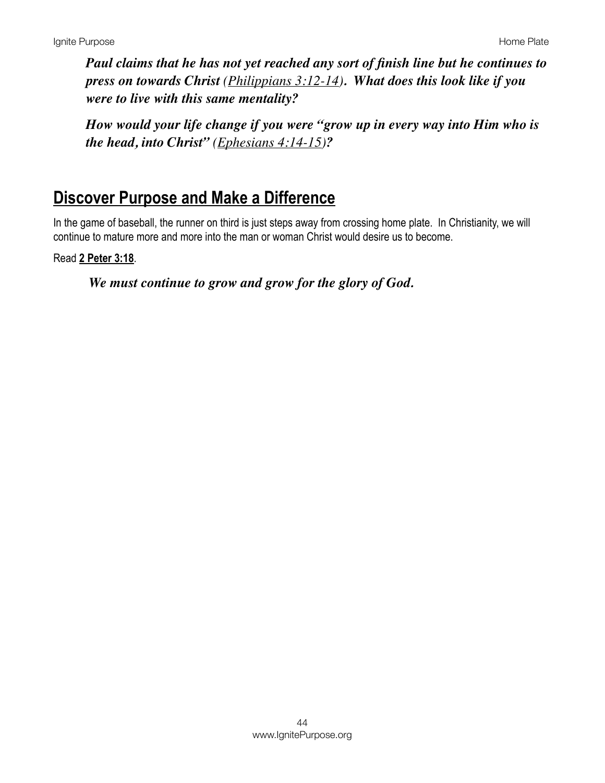*Paul claims that he has not yet reached any sort of finish line but he continues to press on towards Christ ([Philippians 3:12-14](https://www.biblegateway.com/passage/?search=Philippians+3:12-14&version=NIV)). What does this look like if you were to live with this same mentality?*

*How would your life change if you were "grow up in every way into Him who is the head, into Christ" [\(Ephesians 4:14-15\)](https://www.biblegateway.com/passage/?search=Ephesians+4:14-15&version=NIV)?*

## **Discover Purpose and Make a Difference**

In the game of baseball, the runner on third is just steps away from crossing home plate. In Christianity, we will continue to mature more and more into the man or woman Christ would desire us to become.

Read **[2 Peter 3:18](https://www.biblegateway.com/passage/?search=2+Peter+3:18&version=NIV)**.

*We must continue to grow and grow for the glory of God.*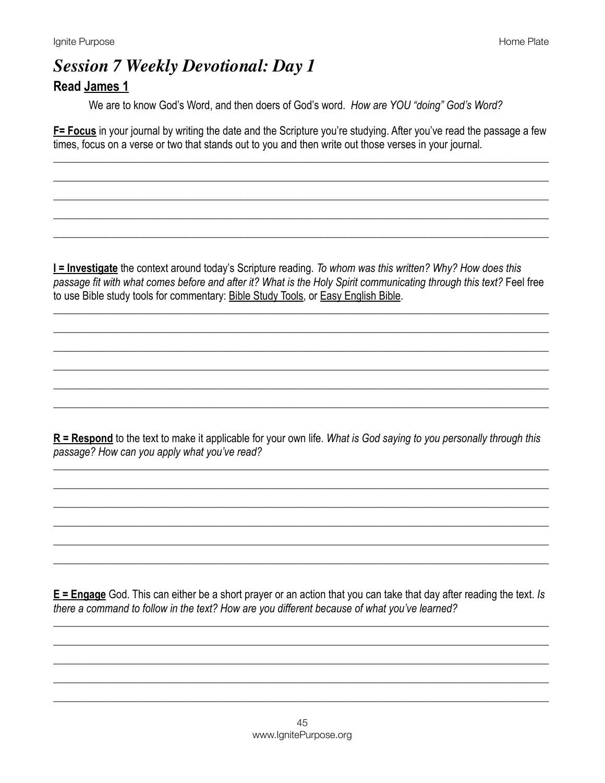## **Session 7 Weekly Devotional: Day 1 Read James 1**

We are to know God's Word, and then doers of God's word. How are YOU "doing" God's Word?

F= Focus in your journal by writing the date and the Scripture you're studying. After you've read the passage a few times, focus on a verse or two that stands out to you and then write out those verses in your journal.

I = Investigate the context around today's Scripture reading. To whom was this written? Why? How does this passage fit with what comes before and after it? What is the Holy Spirit communicating through this text? Feel free to use Bible study tools for commentary: Bible Study Tools, or Easy English Bible.

 $R$  = Respond to the text to make it applicable for your own life. What is God saying to you personally through this passage? How can you apply what you've read?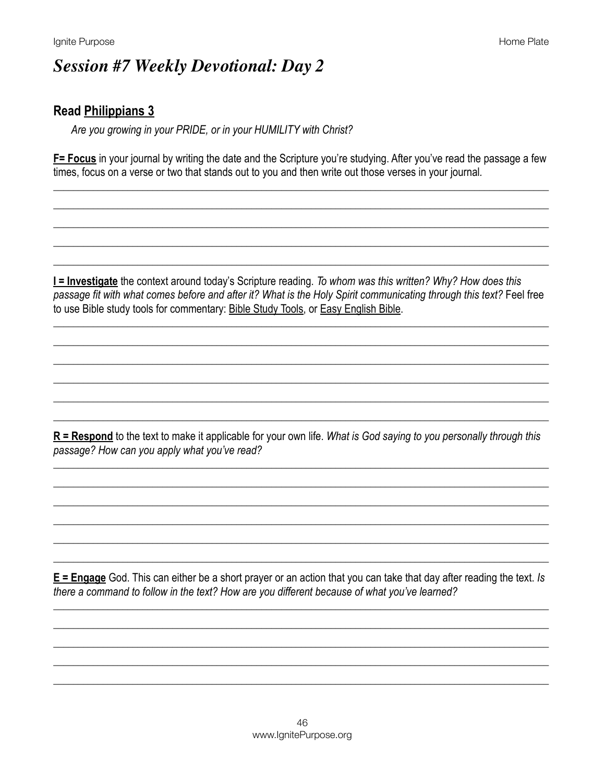## **Session #7 Weekly Devotional: Day 2**

#### **Read Philippians 3**

Are you growing in your PRIDE, or in your HUMILITY with Christ?

F= Focus in your journal by writing the date and the Scripture you're studying. After you've read the passage a few times, focus on a verse or two that stands out to you and then write out those verses in your journal.

I = Investigate the context around today's Scripture reading. To whom was this written? Why? How does this passage fit with what comes before and after it? What is the Holy Spirit communicating through this text? Feel free to use Bible study tools for commentary: Bible Study Tools, or Easy English Bible.

 $R$  = Respond to the text to make it applicable for your own life. What is God saying to you personally through this passage? How can you apply what you've read?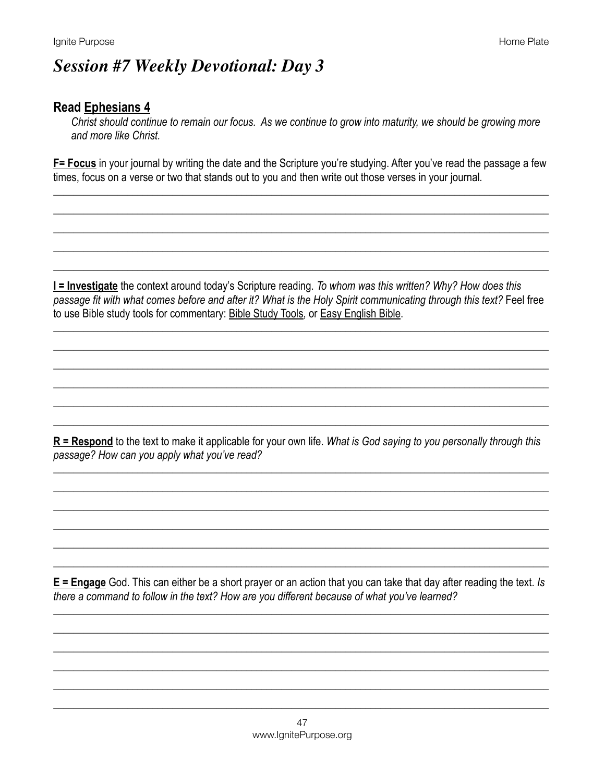# **Session #7 Weekly Devotional: Day 3**

### **Read Ephesians 4**

Christ should continue to remain our focus. As we continue to grow into maturity, we should be growing more and more like Christ.

F= Focus in your journal by writing the date and the Scripture you're studying. After you've read the passage a few times, focus on a verse or two that stands out to you and then write out those verses in your journal.

I = Investigate the context around today's Scripture reading. To whom was this written? Why? How does this passage fit with what comes before and after it? What is the Holy Spirit communicating through this text? Feel free to use Bible study tools for commentary: Bible Study Tools, or Easy English Bible.

 $R =$ Respond to the text to make it applicable for your own life. What is God saying to you personally through this passage? How can you apply what you've read?